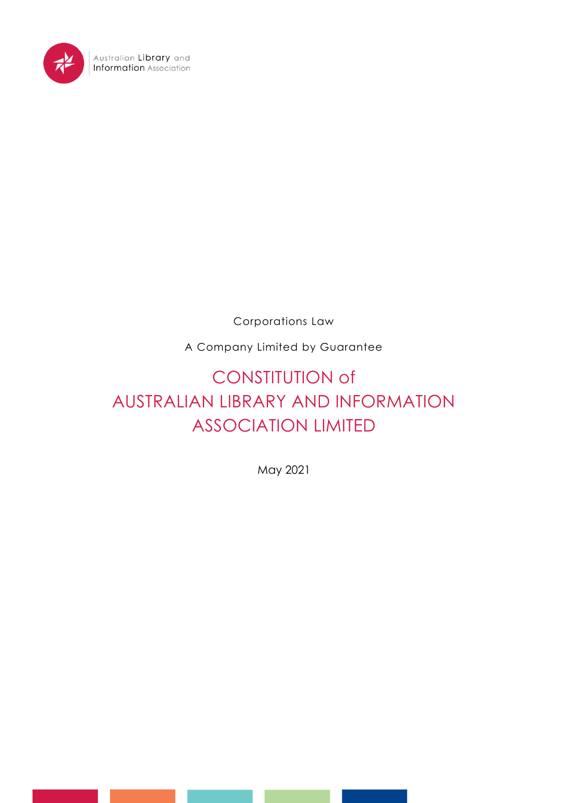

Corporations Law

A Company Limited by Guarantee

# CONSTITUTION of AUSTRALIAN LIBRARY AND INFORMATION ASSOCIATION LIMITED

May 2021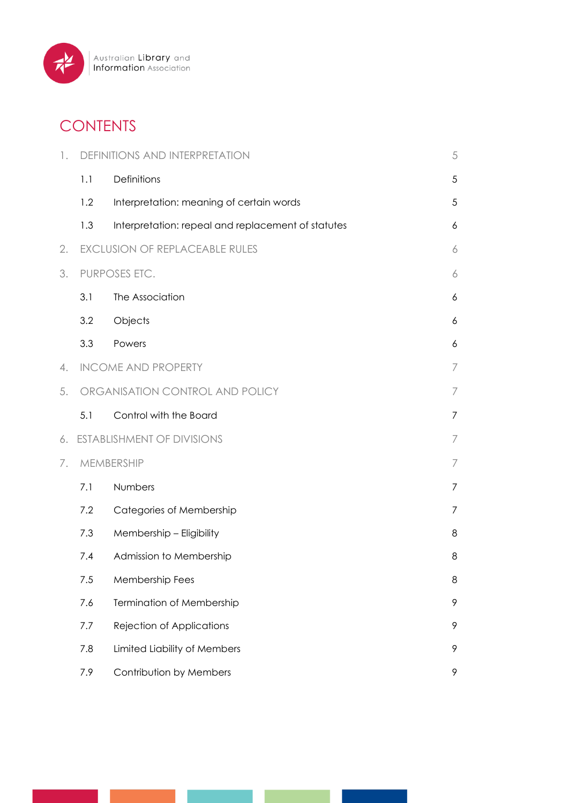

# **CONTENTS**

| 1. |               | <b>DEFINITIONS AND INTERPRETATION</b>              | 5              |
|----|---------------|----------------------------------------------------|----------------|
|    | 1.1           | Definitions                                        | 5              |
|    | 1.2           | Interpretation: meaning of certain words           | 5              |
|    | 1.3           | Interpretation: repeal and replacement of statutes | 6              |
| 2. |               | <b>EXCLUSION OF REPLACEABLE RULES</b>              | 6              |
| 3. | PURPOSES ETC. |                                                    |                |
|    | 3.1           | The Association                                    | 6              |
|    | 3.2           | Objects                                            | 6              |
|    | 3.3           | Powers                                             | 6              |
| 4. |               | <b>INCOME AND PROPERTY</b>                         | 7              |
| 5. |               | ORGANISATION CONTROL AND POLICY                    | 7              |
|    | 5.1           | Control with the Board                             | 7              |
| 6. |               | <b>ESTABLISHMENT OF DIVISIONS</b>                  | $\overline{ }$ |
| 7. | MEMBERSHIP    |                                                    | 7              |
|    | 7.1           | Numbers                                            | 7              |
|    | 7.2           | Categories of Membership                           | 7              |
|    | 7.3           | Membership - Eligibility                           | 8              |
|    | 7.4           | Admission to Membership                            | 8              |
|    | 7.5           | Membership Fees                                    | 8              |
|    | 7.6           | Termination of Membership                          | 9              |
|    | 7.7           | Rejection of Applications                          | 9              |
|    | 7.8           | Limited Liability of Members                       | 9              |
|    | 7.9           | Contribution by Members                            | 9              |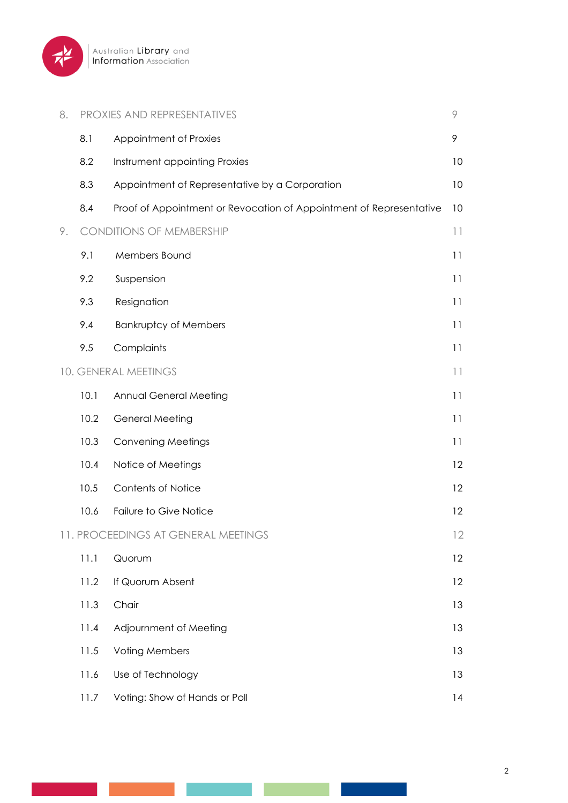

| 8. |      | <b>PROXIES AND REPRESENTATIVES</b>                                  | 9       |
|----|------|---------------------------------------------------------------------|---------|
|    | 8.1  | Appointment of Proxies                                              | 9       |
|    | 8.2  | Instrument appointing Proxies                                       | 10      |
|    | 8.3  | Appointment of Representative by a Corporation                      | 10      |
|    | 8.4  | Proof of Appointment or Revocation of Appointment of Representative | 10      |
| 9. |      | <b>CONDITIONS OF MEMBERSHIP</b>                                     | $  \  $ |
|    | 9.1  | Members Bound                                                       | 11      |
|    | 9.2  | Suspension                                                          | 11      |
|    | 9.3  | Resignation                                                         | 11      |
|    | 9.4  | <b>Bankruptcy of Members</b>                                        | 11      |
|    | 9.5  | Complaints                                                          | 11      |
|    |      | 10. GENERAL MEETINGS                                                | $  \  $ |
|    | 10.1 | Annual General Meeting                                              | 11      |
|    | 10.2 | <b>General Meeting</b>                                              | 11      |
|    | 10.3 | <b>Convening Meetings</b>                                           | 11      |
|    | 10.4 | Notice of Meetings                                                  | 12      |
|    | 10.5 | Contents of Notice                                                  | 12      |
|    | 10.6 | Failure to Give Notice                                              | 12      |
|    |      | 11. PROCEEDINGS AT GENERAL MEETINGS                                 | 12      |
|    | 11.1 | Quorum                                                              | 12      |
|    | 11.2 | If Quorum Absent                                                    | 12      |
|    | 11.3 | Chair                                                               | 13      |
|    | 11.4 | Adjournment of Meeting                                              | 13      |
|    | 11.5 | <b>Voting Members</b>                                               | 13      |
|    | 11.6 | Use of Technology                                                   | 13      |
|    | 11.7 | Voting: Show of Hands or Poll                                       | 14      |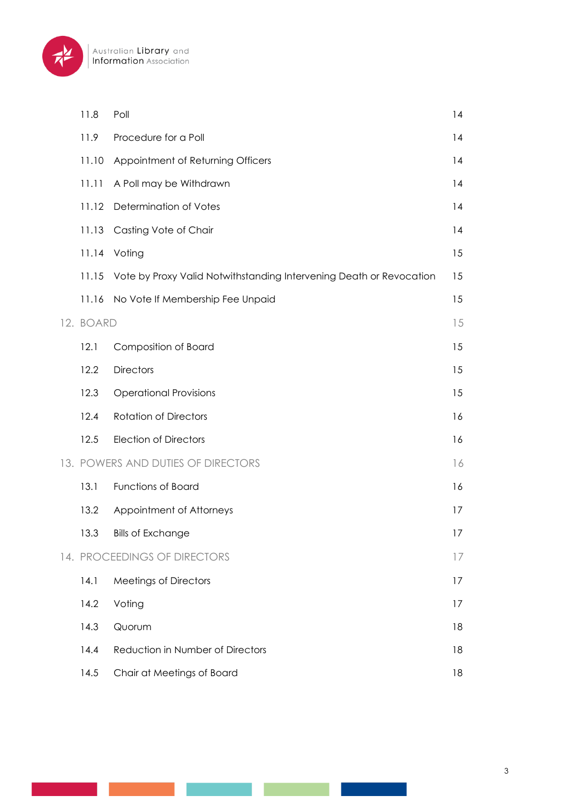

| 11.8      | Poll                                                                | 4  |
|-----------|---------------------------------------------------------------------|----|
| 11.9      | Procedure for a Poll                                                | 14 |
| 11.10     | Appointment of Returning Officers                                   | 14 |
| 11.11     | A Poll may be Withdrawn                                             | 14 |
| 11.12     | Determination of Votes                                              | 4  |
| 11.13     | Casting Vote of Chair                                               | 14 |
| 11.14     | Voting                                                              | 15 |
| 11.15     | Vote by Proxy Valid Notwithstanding Intervening Death or Revocation | 15 |
| 11.16     | No Vote If Membership Fee Unpaid                                    | 15 |
| 12. BOARD |                                                                     | 15 |
| 12.1      | Composition of Board                                                | 15 |
| 12.2      | <b>Directors</b>                                                    | 15 |
| 12.3      | <b>Operational Provisions</b>                                       | 15 |
| 12.4      | <b>Rotation of Directors</b>                                        | 16 |
| 12.5      | <b>Election of Directors</b>                                        | 16 |
|           | 13. POWERS AND DUTIES OF DIRECTORS                                  | 16 |
| 13.1      | <b>Functions of Board</b>                                           | 16 |
| 13.2      | Appointment of Attorneys                                            | 17 |
| 13.3      | <b>Bills of Exchange</b>                                            | 17 |
|           | 14. PROCEEDINGS OF DIRECTORS                                        | 17 |
| 14.1      | <b>Meetings of Directors</b>                                        | 17 |
| 14.2      | Voting                                                              | 17 |
| 14.3      | Quorum                                                              | 18 |
| 14.4      | Reduction in Number of Directors                                    | 18 |
| 14.5      | Chair at Meetings of Board                                          | 18 |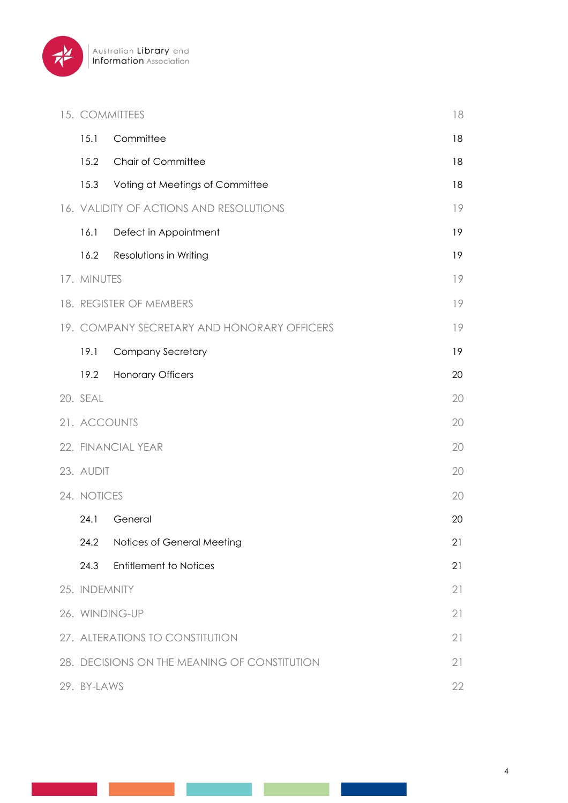

| 15. COMMITTEES                                     | 18                                          |    |
|----------------------------------------------------|---------------------------------------------|----|
| 15.1                                               | Committee                                   | 18 |
| 15.2                                               | Chair of Committee                          | 18 |
| 15.3                                               | Voting at Meetings of Committee             | 18 |
|                                                    | 16. VALIDITY OF ACTIONS AND RESOLUTIONS     | 19 |
| 16.1                                               | Defect in Appointment                       | 19 |
| 16.2                                               | Resolutions in Writing                      | 19 |
| 17. MINUTES                                        |                                             | 19 |
|                                                    | 18. REGISTER OF MEMBERS                     | 19 |
|                                                    | 19. COMPANY SECRETARY AND HONORARY OFFICERS | 19 |
| 19.1                                               | <b>Company Secretary</b>                    | 19 |
| 19.2                                               | <b>Honorary Officers</b>                    | 20 |
| 20. SEAL                                           |                                             | 20 |
| 21. ACCOUNTS                                       |                                             | 20 |
|                                                    | 22. FINANCIAL YEAR                          | 20 |
| 23. AUDIT                                          |                                             |    |
| 24. NOTICES                                        |                                             | 20 |
| 24.1                                               | General                                     | 20 |
| 24.2                                               | Notices of General Meeting                  | 21 |
| 24.3                                               | <b>Entitlement to Notices</b>               | 21 |
| 25. INDEMNITY                                      |                                             | 21 |
|                                                    | 26. WINDING-UP                              | 21 |
| 27. ALTERATIONS TO CONSTITUTION<br>21              |                                             |    |
| 28. DECISIONS ON THE MEANING OF CONSTITUTION<br>21 |                                             |    |
| 29. BY-LAWS<br>22                                  |                                             |    |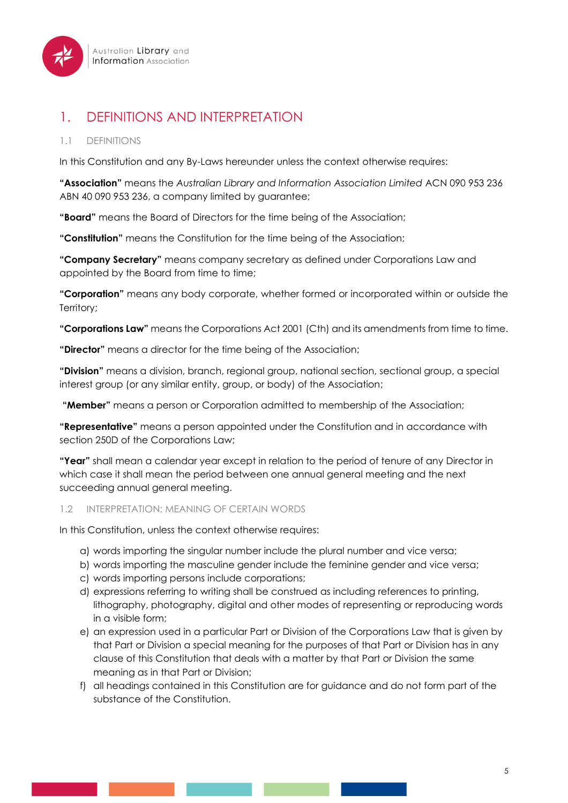

# 1. DEFINITIONS AND INTERPRETATION

## 1.1 DEFINITIONS

In this Constitution and any By-Laws hereunder unless the context otherwise requires:

**"Association"** means the *Australian Library and Information Association Limited* ACN 090 953 236 ABN 40 090 953 236, a company limited by guarantee;

**"Board"** means the Board of Directors for the time being of the Association;

**"Constitution"** means the Constitution for the time being of the Association;

**"Company Secretary"** means company secretary as defined under Corporations Law and appointed by the Board from time to time;

**"Corporation"** means any body corporate, whether formed or incorporated within or outside the Territory;

**"Corporations Law"** means the Corporations Act 2001 (Cth) and its amendments from time to time.

**"Director"** means a director for the time being of the Association;

**"Division"** means a division, branch, regional group, national section, sectional group, a special interest group (or any similar entity, group, or body) of the Association;

**"Member"** means a person or Corporation admitted to membership of the Association;

**"Representative"** means a person appointed under the Constitution and in accordance with section 250D of the Corporations Law;

**"Year"** shall mean a calendar year except in relation to the period of tenure of any Director in which case it shall mean the period between one annual general meeting and the next succeeding annual general meeting.

#### 1.2 INTERPRETATION: MEANING OF CERTAIN WORDS

In this Constitution, unless the context otherwise requires:

- a) words importing the singular number include the plural number and vice versa;
- b) words importing the masculine gender include the feminine gender and vice versa;
- c) words importing persons include corporations;
- d) expressions referring to writing shall be construed as including references to printing, lithography, photography, digital and other modes of representing or reproducing words in a visible form;
- e) an expression used in a particular Part or Division of the Corporations Law that is given by that Part or Division a special meaning for the purposes of that Part or Division has in any clause of this Constitution that deals with a matter by that Part or Division the same meaning as in that Part or Division;
- f) all headings contained in this Constitution are for guidance and do not form part of the substance of the Constitution.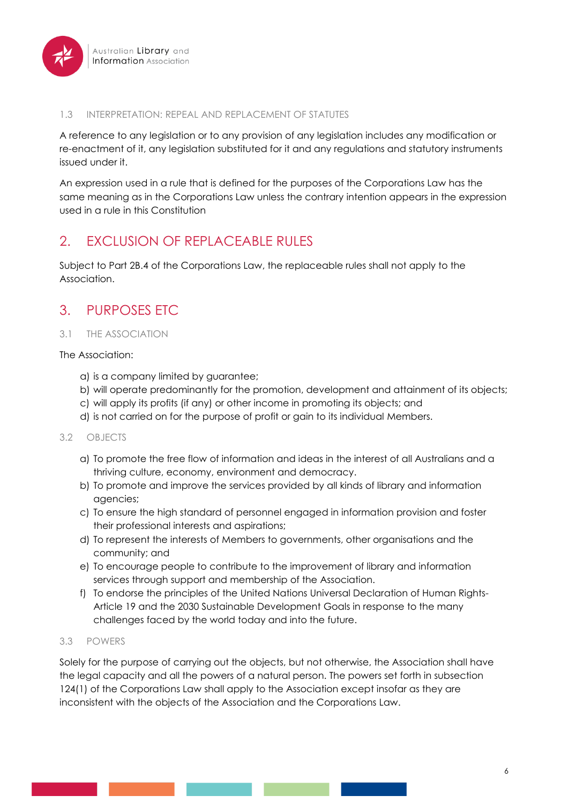

#### 1.3 INTERPRETATION: REPEAL AND REPLACEMENT OF STATUTES

A reference to any legislation or to any provision of any legislation includes any modification or re-enactment of it, any legislation substituted for it and any regulations and statutory instruments issued under it.

An expression used in a rule that is defined for the purposes of the Corporations Law has the same meaning as in the Corporations Law unless the contrary intention appears in the expression used in a rule in this Constitution

# 2. EXCLUSION OF REPLACEABLE RULES

Subject to Part 2B.4 of the Corporations Law, the replaceable rules shall not apply to the Association.

# 3. PURPOSES ETC

### 3.1 THE ASSOCIATION

#### The Association:

- a) is a company limited by guarantee;
- b) will operate predominantly for the promotion, development and attainment of its objects;
- c) will apply its profits (if any) or other income in promoting its objects; and
- d) is not carried on for the purpose of profit or gain to its individual Members.

#### 3.2 OBJECTS

- a) To promote the free flow of information and ideas in the interest of all Australians and a thriving culture, economy, environment and democracy.
- b) To promote and improve the services provided by all kinds of library and information agencies;
- c) To ensure the high standard of personnel engaged in information provision and foster their professional interests and aspirations;
- d) To represent the interests of Members to governments, other organisations and the community; and
- e) To encourage people to contribute to the improvement of library and information services through support and membership of the Association.
- f) To endorse the principles of the United Nations Universal Declaration of Human Rights-Article 19 and the 2030 Sustainable Development Goals in response to the many challenges faced by the world today and into the future.

#### 3.3 POWERS

Solely for the purpose of carrying out the objects, but not otherwise, the Association shall have the legal capacity and all the powers of a natural person. The powers set forth in subsection 124(1) of the Corporations Law shall apply to the Association except insofar as they are inconsistent with the objects of the Association and the Corporations Law.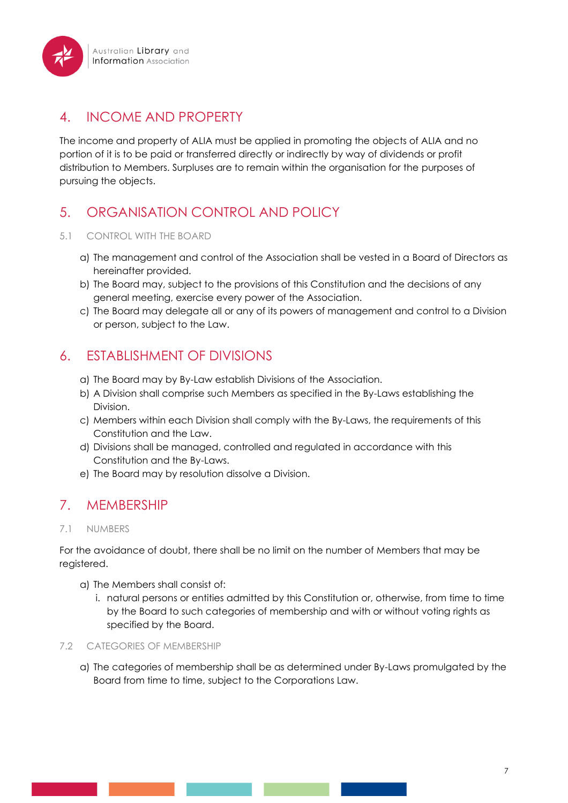# 4. INCOME AND PROPERTY

The income and property of ALIA must be applied in promoting the objects of ALIA and no portion of it is to be paid or transferred directly or indirectly by way of dividends or profit distribution to Members. Surpluses are to remain within the organisation for the purposes of pursuing the objects.

# 5. ORGANISATION CONTROL AND POLICY

## 5.1 CONTROL WITH THE BOARD

- a) The management and control of the Association shall be vested in a Board of Directors as hereinafter provided.
- b) The Board may, subject to the provisions of this Constitution and the decisions of any general meeting, exercise every power of the Association.
- c) The Board may delegate all or any of its powers of management and control to a Division or person, subject to the Law.

# 6. ESTABLISHMENT OF DIVISIONS

- a) The Board may by By-Law establish Divisions of the Association.
- b) A Division shall comprise such Members as specified in the By-Laws establishing the Division.
- c) Members within each Division shall comply with the By-Laws, the requirements of this Constitution and the Law.
- d) Divisions shall be managed, controlled and regulated in accordance with this Constitution and the By-Laws.
- e) The Board may by resolution dissolve a Division.

# 7. MEMBERSHIP

# 7.1 NUMBERS

For the avoidance of doubt, there shall be no limit on the number of Members that may be registered.

- a) The Members shall consist of:
	- i. natural persons or entities admitted by this Constitution or, otherwise, from time to time by the Board to such categories of membership and with or without voting rights as specified by the Board.

### 7.2 CATEGORIES OF MEMBERSHIP

a) The categories of membership shall be as determined under By-Laws promulgated by the Board from time to time, subject to the Corporations Law.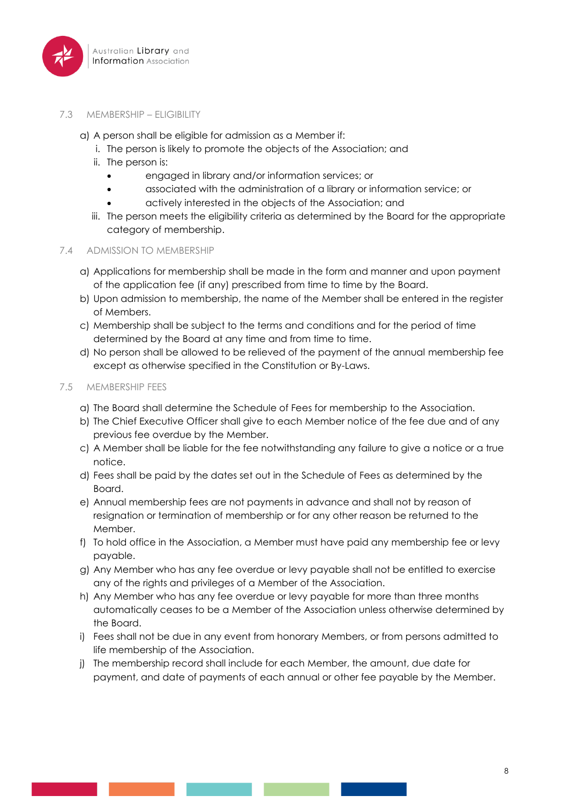

#### 7.3 MEMBERSHIP – ELIGIBILITY

- a) A person shall be eligible for admission as a Member if:
	- i. The person is likely to promote the objects of the Association; and
	- ii. The person is:
		- engaged in library and/or information services; or
		- associated with the administration of a library or information service; or
		- actively interested in the objects of the Association; and
	- iii. The person meets the eligibility criteria as determined by the Board for the appropriate category of membership.

#### 7.4 ADMISSION TO MEMBERSHIP

- a) Applications for membership shall be made in the form and manner and upon payment of the application fee (if any) prescribed from time to time by the Board.
- b) Upon admission to membership, the name of the Member shall be entered in the register of Members.
- c) Membership shall be subject to the terms and conditions and for the period of time determined by the Board at any time and from time to time.
- d) No person shall be allowed to be relieved of the payment of the annual membership fee except as otherwise specified in the Constitution or By-Laws.

#### 7.5 MEMBERSHIP FEES

- a) The Board shall determine the Schedule of Fees for membership to the Association.
- b) The Chief Executive Officer shall give to each Member notice of the fee due and of any previous fee overdue by the Member.
- c) A Member shall be liable for the fee notwithstanding any failure to give a notice or a true notice.
- d) Fees shall be paid by the dates set out in the Schedule of Fees as determined by the Board.
- e) Annual membership fees are not payments in advance and shall not by reason of resignation or termination of membership or for any other reason be returned to the Member.
- f) To hold office in the Association, a Member must have paid any membership fee or levy payable.
- g) Any Member who has any fee overdue or levy payable shall not be entitled to exercise any of the rights and privileges of a Member of the Association.
- h) Any Member who has any fee overdue or levy payable for more than three months automatically ceases to be a Member of the Association unless otherwise determined by the Board.
- i) Fees shall not be due in any event from honorary Members, or from persons admitted to life membership of the Association.
- j) The membership record shall include for each Member, the amount, due date for payment, and date of payments of each annual or other fee payable by the Member.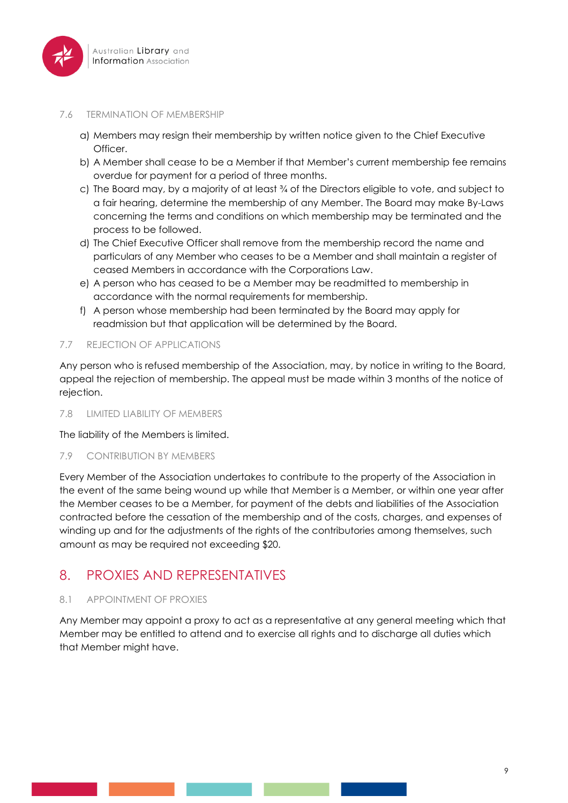

#### 7.6 TERMINATION OF MEMBERSHIP

- a) Members may resign their membership by written notice given to the Chief Executive Officer.
- b) A Member shall cease to be a Member if that Member's current membership fee remains overdue for payment for a period of three months.
- c) The Board may, by a majority of at least  $\frac{3}{4}$  of the Directors eligible to vote, and subject to a fair hearing, determine the membership of any Member. The Board may make By-Laws concerning the terms and conditions on which membership may be terminated and the process to be followed.
- d) The Chief Executive Officer shall remove from the membership record the name and particulars of any Member who ceases to be a Member and shall maintain a register of ceased Members in accordance with the Corporations Law.
- e) A person who has ceased to be a Member may be readmitted to membership in accordance with the normal requirements for membership.
- f) A person whose membership had been terminated by the Board may apply for readmission but that application will be determined by the Board.

### 7.7 REJECTION OF APPLICATIONS

Any person who is refused membership of the Association, may, by notice in writing to the Board, appeal the rejection of membership. The appeal must be made within 3 months of the notice of rejection.

#### 7.8 LIMITED LIABILITY OF MEMBERS

The liability of the Members is limited.

#### 7.9 CONTRIBUTION BY MEMBERS

Every Member of the Association undertakes to contribute to the property of the Association in the event of the same being wound up while that Member is a Member, or within one year after the Member ceases to be a Member, for payment of the debts and liabilities of the Association contracted before the cessation of the membership and of the costs, charges, and expenses of winding up and for the adjustments of the rights of the contributories among themselves, such amount as may be required not exceeding \$20.

# 8. PROXIES AND REPRESENTATIVES

### 8.1 APPOINTMENT OF PROXIES

Any Member may appoint a proxy to act as a representative at any general meeting which that Member may be entitled to attend and to exercise all rights and to discharge all duties which that Member might have.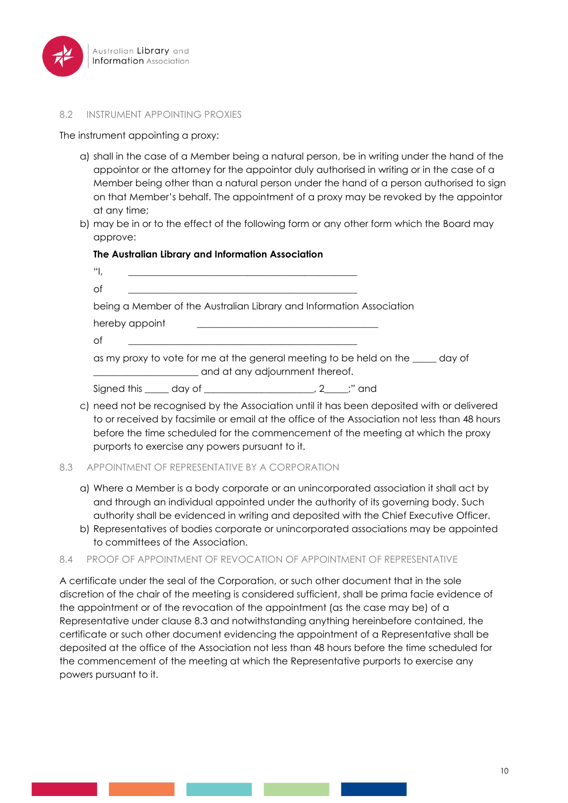

#### 8.2 INSTRUMENT APPOINTING PROXIES

The instrument appointing a proxy:

- a) shall in the case of a Member being a natural person, be in writing under the hand of the appointor or the attorney for the appointor duly authorised in writing or in the case of a Member being other than a natural person under the hand of a person authorised to sign on that Member's behalf. The appointment of a proxy may be revoked by the appointor at any time;
- b) may be in or to the effect of the following form or any other form which the Board may approve:

#### **The Australian Library and Information Association**

| 門,                                                                                                                 |                                                                    |  |  |  |
|--------------------------------------------------------------------------------------------------------------------|--------------------------------------------------------------------|--|--|--|
| of                                                                                                                 |                                                                    |  |  |  |
| being a Member of the Australian Library and Information Association                                               |                                                                    |  |  |  |
| hereby appoint                                                                                                     |                                                                    |  |  |  |
| of                                                                                                                 |                                                                    |  |  |  |
| as my proxy to vote for me at the general meeting to be held on the same day of<br>and at any adjournment thereof. |                                                                    |  |  |  |
|                                                                                                                    | Signed this ______ day of __________________________, 2_____;" and |  |  |  |

c) need not be recognised by the Association until it has been deposited with or delivered to or received by facsimile or email at the office of the Association not less than 48 hours before the time scheduled for the commencement of the meeting at which the proxy purports to exercise any powers pursuant to it.

#### 8.3 APPOINTMENT OF REPRESENTATIVE BY A CORPORATION

- a) Where a Member is a body corporate or an unincorporated association it shall act by and through an individual appointed under the authority of its governing body. Such authority shall be evidenced in writing and deposited with the Chief Executive Officer.
- b) Representatives of bodies corporate or unincorporated associations may be appointed to committees of the Association.

#### 8.4 PROOF OF APPOINTMENT OF REVOCATION OF APPOINTMENT OF REPRESENTATIVE

A certificate under the seal of the Corporation, or such other document that in the sole discretion of the chair of the meeting is considered sufficient, shall be prima facie evidence of the appointment or of the revocation of the appointment (as the case may be) of a Representative under clause 8.3 and notwithstanding anything hereinbefore contained, the certificate or such other document evidencing the appointment of a Representative shall be deposited at the office of the Association not less than 48 hours before the time scheduled for the commencement of the meeting at which the Representative purports to exercise any powers pursuant to it.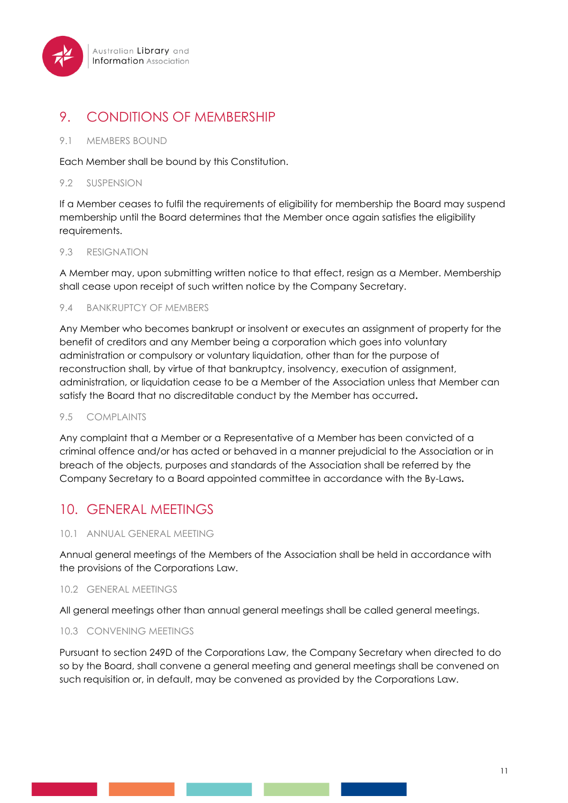

# 9. CONDITIONS OF MEMBERSHIP

#### 9.1 MEMBERS BOUND

Each Member shall be bound by this Constitution.

#### 9.2 SUSPENSION

If a Member ceases to fulfil the requirements of eligibility for membership the Board may suspend membership until the Board determines that the Member once again satisfies the eligibility requirements.

#### 9.3 RESIGNATION

A Member may, upon submitting written notice to that effect, resign as a Member. Membership shall cease upon receipt of such written notice by the Company Secretary.

#### 9.4 BANKRUPTCY OF MEMBERS

Any Member who becomes bankrupt or insolvent or executes an assignment of property for the benefit of creditors and any Member being a corporation which goes into voluntary administration or compulsory or voluntary liquidation, other than for the purpose of reconstruction shall, by virtue of that bankruptcy, insolvency, execution of assignment, administration, or liquidation cease to be a Member of the Association unless that Member can satisfy the Board that no discreditable conduct by the Member has occurred**.**

#### 9.5 COMPLAINTS

Any complaint that a Member or a Representative of a Member has been convicted of a criminal offence and/or has acted or behaved in a manner prejudicial to the Association or in breach of the objects, purposes and standards of the Association shall be referred by the Company Secretary to a Board appointed committee in accordance with the By-Laws**.**

# 10. GENERAL MEETINGS

### 10.1 ANNUAL GENERAL MEETING

Annual general meetings of the Members of the Association shall be held in accordance with the provisions of the Corporations Law.

#### 10.2 GENERAL MEETINGS

All general meetings other than annual general meetings shall be called general meetings.

### 10.3 CONVENING MEETINGS

Pursuant to section 249D of the Corporations Law, the Company Secretary when directed to do so by the Board, shall convene a general meeting and general meetings shall be convened on such requisition or, in default, may be convened as provided by the Corporations Law.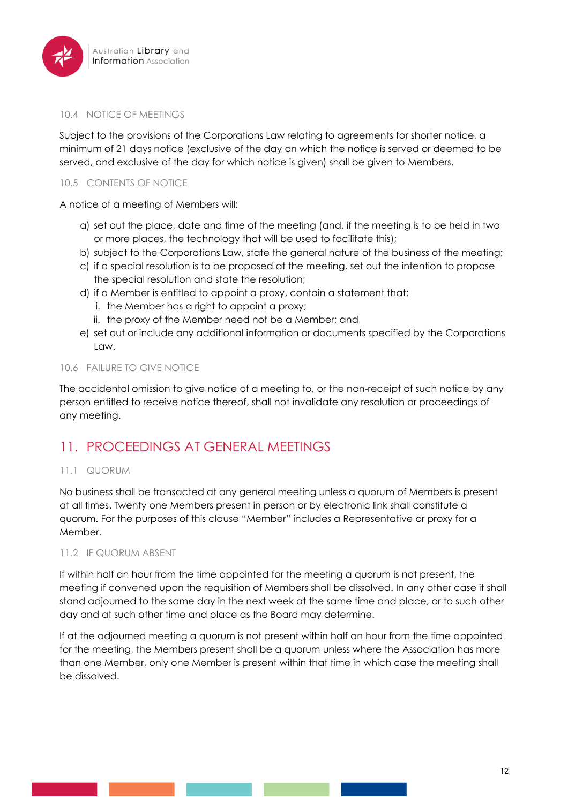

#### 10.4 NOTICE OF MEETINGS

Subject to the provisions of the Corporations Law relating to agreements for shorter notice, a minimum of 21 days notice (exclusive of the day on which the notice is served or deemed to be served, and exclusive of the day for which notice is given) shall be given to Members.

### 10.5 CONTENTS OF NOTICE

A notice of a meeting of Members will:

- a) set out the place, date and time of the meeting (and, if the meeting is to be held in two or more places, the technology that will be used to facilitate this);
- b) subject to the Corporations Law, state the general nature of the business of the meeting;
- c) if a special resolution is to be proposed at the meeting, set out the intention to propose the special resolution and state the resolution;
- d) if a Member is entitled to appoint a proxy, contain a statement that:
	- i. the Member has a right to appoint a proxy;
	- ii. the proxy of the Member need not be a Member; and
- e) set out or include any additional information or documents specified by the Corporations Law.

### 10.6 FAILURE TO GIVE NOTICE

The accidental omission to give notice of a meeting to, or the non-receipt of such notice by any person entitled to receive notice thereof, shall not invalidate any resolution or proceedings of any meeting.

# 11. PROCEEDINGS AT GENERAL MEETINGS

### 11.1 QUORUM

No business shall be transacted at any general meeting unless a quorum of Members is present at all times. Twenty one Members present in person or by electronic link shall constitute a quorum. For the purposes of this clause "Member" includes a Representative or proxy for a Member.

#### 11.2 IF QUORUM ABSENT

If within half an hour from the time appointed for the meeting a quorum is not present, the meeting if convened upon the requisition of Members shall be dissolved. In any other case it shall stand adjourned to the same day in the next week at the same time and place, or to such other day and at such other time and place as the Board may determine.

If at the adjourned meeting a quorum is not present within half an hour from the time appointed for the meeting, the Members present shall be a quorum unless where the Association has more than one Member, only one Member is present within that time in which case the meeting shall be dissolved.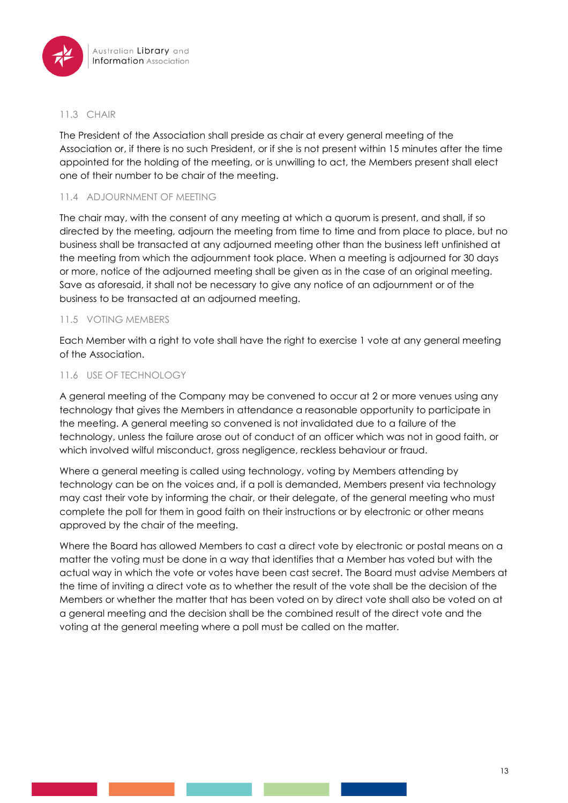

#### 11.3 CHAIR

The President of the Association shall preside as chair at every general meeting of the Association or, if there is no such President, or if she is not present within 15 minutes after the time appointed for the holding of the meeting, or is unwilling to act, the Members present shall elect one of their number to be chair of the meeting.

### 11.4 ADJOURNMENT OF MEETING

The chair may, with the consent of any meeting at which a quorum is present, and shall, if so directed by the meeting, adjourn the meeting from time to time and from place to place, but no business shall be transacted at any adjourned meeting other than the business left unfinished at the meeting from which the adjournment took place. When a meeting is adjourned for 30 days or more, notice of the adjourned meeting shall be given as in the case of an original meeting. Save as aforesaid, it shall not be necessary to give any notice of an adjournment or of the business to be transacted at an adjourned meeting.

### 11.5 VOTING MEMBERS

Each Member with a right to vote shall have the right to exercise 1 vote at any general meeting of the Association.

### 11.6 USE OF TECHNOLOGY

A general meeting of the Company may be convened to occur at 2 or more venues using any technology that gives the Members in attendance a reasonable opportunity to participate in the meeting. A general meeting so convened is not invalidated due to a failure of the technology, unless the failure arose out of conduct of an officer which was not in good faith, or which involved wilful misconduct, gross negligence, reckless behaviour or fraud.

Where a general meeting is called using technology, voting by Members attending by technology can be on the voices and, if a poll is demanded, Members present via technology may cast their vote by informing the chair, or their delegate, of the general meeting who must complete the poll for them in good faith on their instructions or by electronic or other means approved by the chair of the meeting.

Where the Board has allowed Members to cast a direct vote by electronic or postal means on a matter the voting must be done in a way that identifies that a Member has voted but with the actual way in which the vote or votes have been cast secret. The Board must advise Members at the time of inviting a direct vote as to whether the result of the vote shall be the decision of the Members or whether the matter that has been voted on by direct vote shall also be voted on at a general meeting and the decision shall be the combined result of the direct vote and the voting at the general meeting where a poll must be called on the matter.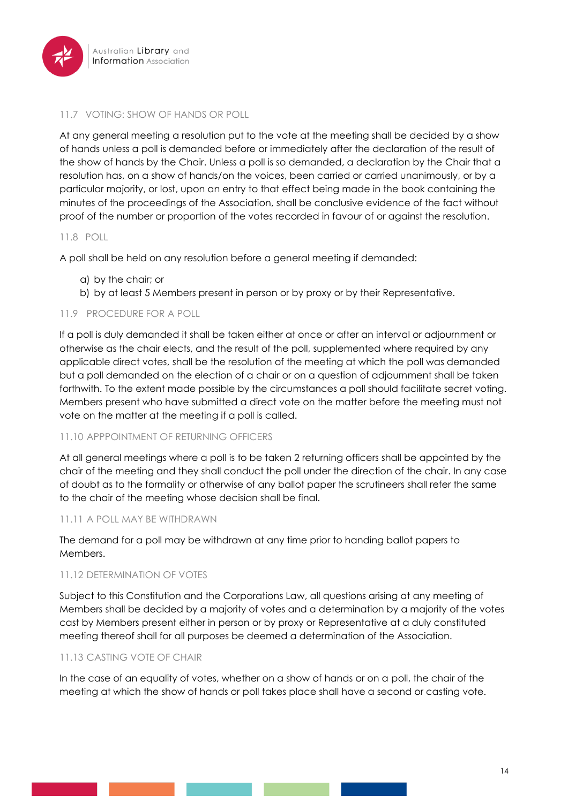

### 11.7 VOTING: SHOW OF HANDS OR POLL

At any general meeting a resolution put to the vote at the meeting shall be decided by a show of hands unless a poll is demanded before or immediately after the declaration of the result of the show of hands by the Chair. Unless a poll is so demanded, a declaration by the Chair that a resolution has, on a show of hands/on the voices, been carried or carried unanimously, or by a particular majority, or lost, upon an entry to that effect being made in the book containing the minutes of the proceedings of the Association, shall be conclusive evidence of the fact without proof of the number or proportion of the votes recorded in favour of or against the resolution.

#### 11.8 POLL

A poll shall be held on any resolution before a general meeting if demanded:

- a) by the chair; or
- b) by at least 5 Members present in person or by proxy or by their Representative.

### 11.9 PROCEDURE FOR A POLL

If a poll is duly demanded it shall be taken either at once or after an interval or adjournment or otherwise as the chair elects, and the result of the poll, supplemented where required by any applicable direct votes, shall be the resolution of the meeting at which the poll was demanded but a poll demanded on the election of a chair or on a question of adjournment shall be taken forthwith. To the extent made possible by the circumstances a poll should facilitate secret voting. Members present who have submitted a direct vote on the matter before the meeting must not vote on the matter at the meeting if a poll is called.

#### 11.10 APPPOINTMENT OF RETURNING OFFICERS

At all general meetings where a poll is to be taken 2 returning officers shall be appointed by the chair of the meeting and they shall conduct the poll under the direction of the chair. In any case of doubt as to the formality or otherwise of any ballot paper the scrutineers shall refer the same to the chair of the meeting whose decision shall be final.

#### 11.11 A POLL MAY BE WITHDRAWN

The demand for a poll may be withdrawn at any time prior to handing ballot papers to Members.

#### 11.12 DETERMINATION OF VOTES

Subject to this Constitution and the Corporations Law, all questions arising at any meeting of Members shall be decided by a majority of votes and a determination by a majority of the votes cast by Members present either in person or by proxy or Representative at a duly constituted meeting thereof shall for all purposes be deemed a determination of the Association.

### 11.13 CASTING VOTE OF CHAIR

In the case of an equality of votes, whether on a show of hands or on a poll, the chair of the meeting at which the show of hands or poll takes place shall have a second or casting vote.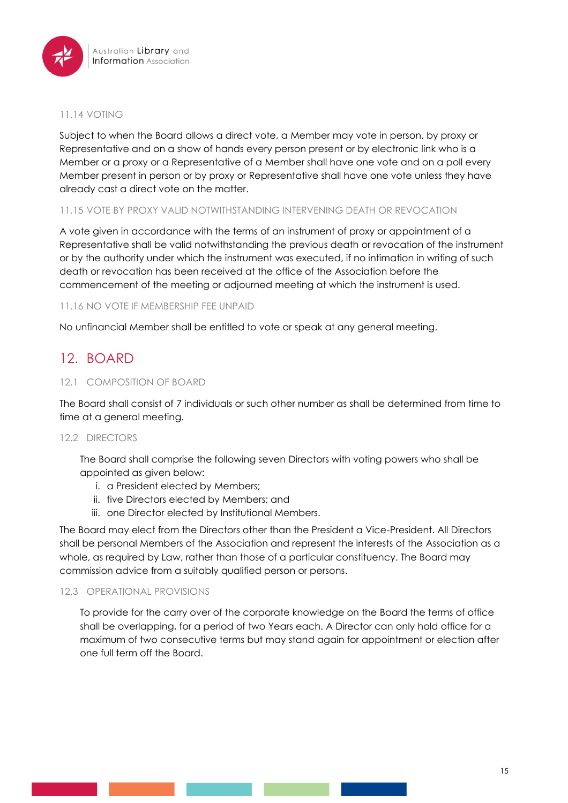

#### 11.14 VOTING

Subject to when the Board allows a direct vote, a Member may vote in person, by proxy or Representative and on a show of hands every person present or by electronic link who is a Member or a proxy or a Representative of a Member shall have one vote and on a poll every Member present in person or by proxy or Representative shall have one vote unless they have already cast a direct vote on the matter.

### 11.15 VOTE BY PROXY VALID NOTWITHSTANDING INTERVENING DEATH OR REVOCATION

A vote given in accordance with the terms of an instrument of proxy or appointment of a Representative shall be valid notwithstanding the previous death or revocation of the instrument or by the authority under which the instrument was executed, if no intimation in writing of such death or revocation has been received at the office of the Association before the commencement of the meeting or adjourned meeting at which the instrument is used.

#### 11.16 NO VOTE IF MEMBERSHIP FEE UNPAID

No unfinancial Member shall be entitled to vote or speak at any general meeting.

# 12. BOARD

#### 12.1 COMPOSITION OF BOARD

The Board shall consist of 7 individuals or such other number as shall be determined from time to time at a general meeting.

#### 12.2 DIRECTORS

The Board shall comprise the following seven Directors with voting powers who shall be appointed as given below:

- i. a President elected by Members;
- ii. five Directors elected by Members; and
- iii. one Director elected by Institutional Members.

The Board may elect from the Directors other than the President a Vice-President. All Directors shall be personal Members of the Association and represent the interests of the Association as a whole, as required by Law, rather than those of a particular constituency. The Board may commission advice from a suitably qualified person or persons.

#### 12.3 OPERATIONAL PROVISIONS

To provide for the carry over of the corporate knowledge on the Board the terms of office shall be overlapping, for a period of two Years each. A Director can only hold office for a maximum of two consecutive terms but may stand again for appointment or election after one full term off the Board.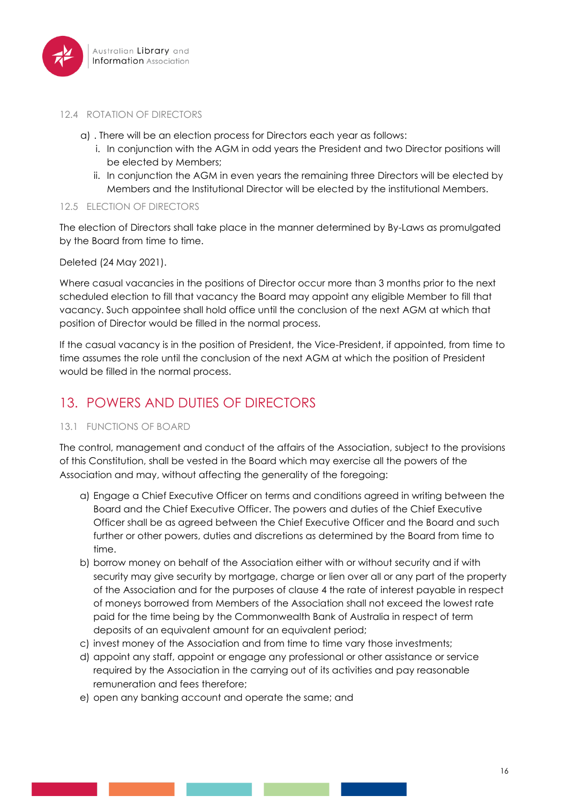

#### 12.4 ROTATION OF DIRECTORS

- a) . There will be an election process for Directors each year as follows:
	- i. In conjunction with the AGM in odd years the President and two Director positions will be elected by Members;
	- ii. In conjunction the AGM in even years the remaining three Directors will be elected by Members and the Institutional Director will be elected by the institutional Members.

#### 12.5 ELECTION OF DIRECTORS

The election of Directors shall take place in the manner determined by By-Laws as promulgated by the Board from time to time.

Deleted (24 May 2021).

Where casual vacancies in the positions of Director occur more than 3 months prior to the next scheduled election to fill that vacancy the Board may appoint any eligible Member to fill that vacancy. Such appointee shall hold office until the conclusion of the next AGM at which that position of Director would be filled in the normal process.

If the casual vacancy is in the position of President, the Vice-President, if appointed, from time to time assumes the role until the conclusion of the next AGM at which the position of President would be filled in the normal process.

# 13. POWERS AND DUTIES OF DIRECTORS

### 13.1 FUNCTIONS OF BOARD

The control, management and conduct of the affairs of the Association, subject to the provisions of this Constitution, shall be vested in the Board which may exercise all the powers of the Association and may, without affecting the generality of the foregoing:

- a) Engage a Chief Executive Officer on terms and conditions agreed in writing between the Board and the Chief Executive Officer. The powers and duties of the Chief Executive Officer shall be as agreed between the Chief Executive Officer and the Board and such further or other powers, duties and discretions as determined by the Board from time to time.
- b) borrow money on behalf of the Association either with or without security and if with security may give security by mortgage, charge or lien over all or any part of the property of the Association and for the purposes of clause 4 the rate of interest payable in respect of moneys borrowed from Members of the Association shall not exceed the lowest rate paid for the time being by the Commonwealth Bank of Australia in respect of term deposits of an equivalent amount for an equivalent period;
- c) invest money of the Association and from time to time vary those investments;
- d) appoint any staff, appoint or engage any professional or other assistance or service required by the Association in the carrying out of its activities and pay reasonable remuneration and fees therefore;
- e) open any banking account and operate the same; and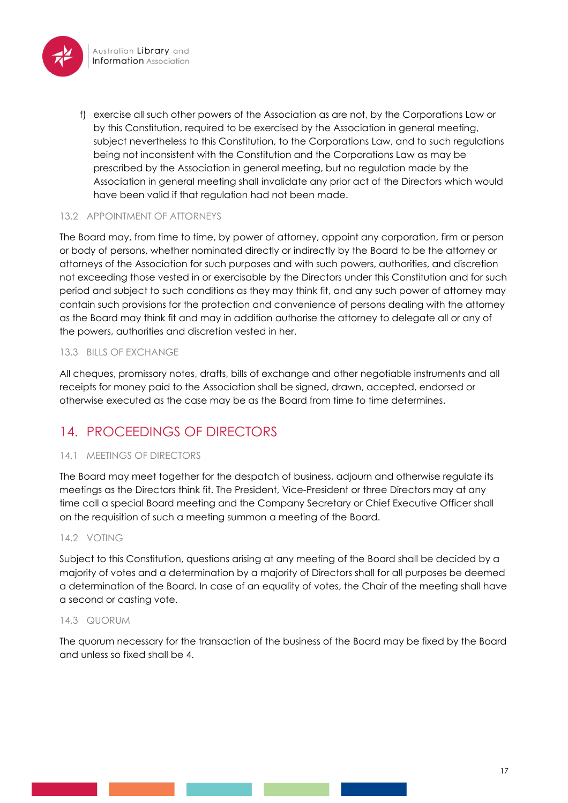

f) exercise all such other powers of the Association as are not, by the Corporations Law or by this Constitution, required to be exercised by the Association in general meeting, subject nevertheless to this Constitution, to the Corporations Law, and to such regulations being not inconsistent with the Constitution and the Corporations Law as may be prescribed by the Association in general meeting, but no regulation made by the Association in general meeting shall invalidate any prior act of the Directors which would have been valid if that regulation had not been made.

## 13.2 APPOINTMENT OF ATTORNEYS

The Board may, from time to time, by power of attorney, appoint any corporation, firm or person or body of persons, whether nominated directly or indirectly by the Board to be the attorney or attorneys of the Association for such purposes and with such powers, authorities, and discretion not exceeding those vested in or exercisable by the Directors under this Constitution and for such period and subject to such conditions as they may think fit, and any such power of attorney may contain such provisions for the protection and convenience of persons dealing with the attorney as the Board may think fit and may in addition authorise the attorney to delegate all or any of the powers, authorities and discretion vested in her.

# 13.3 BILLS OF EXCHANGE

All cheques, promissory notes, drafts, bills of exchange and other negotiable instruments and all receipts for money paid to the Association shall be signed, drawn, accepted, endorsed or otherwise executed as the case may be as the Board from time to time determines.

# 14. PROCEEDINGS OF DIRECTORS

### 14.1 MEETINGS OF DIRECTORS

The Board may meet together for the despatch of business, adjourn and otherwise regulate its meetings as the Directors think fit. The President, Vice-President or three Directors may at any time call a special Board meeting and the Company Secretary or Chief Executive Officer shall on the requisition of such a meeting summon a meeting of the Board.

### 14.2 VOTING

Subject to this Constitution, questions arising at any meeting of the Board shall be decided by a majority of votes and a determination by a majority of Directors shall for all purposes be deemed a determination of the Board. In case of an equality of votes, the Chair of the meeting shall have a second or casting vote.

#### 14.3 QUORUM

The quorum necessary for the transaction of the business of the Board may be fixed by the Board and unless so fixed shall be 4.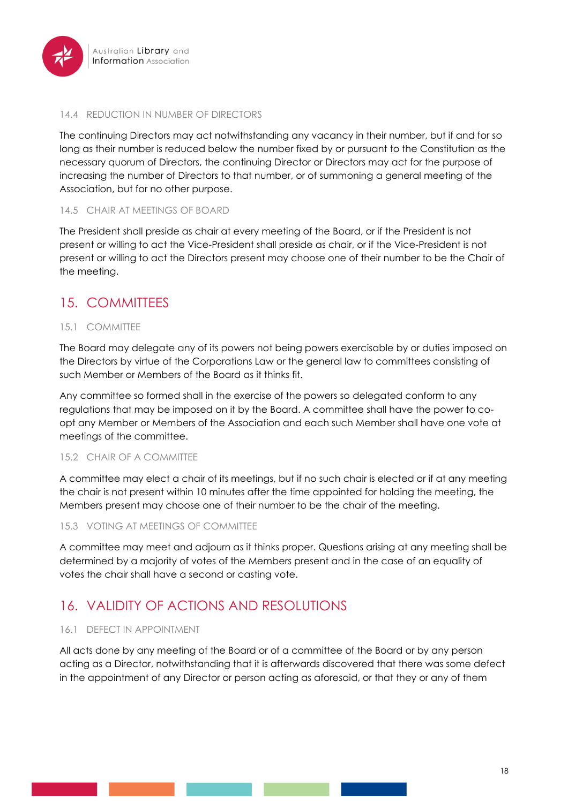

#### 14.4 REDUCTION IN NUMBER OF DIRECTORS

The continuing Directors may act notwithstanding any vacancy in their number, but if and for so long as their number is reduced below the number fixed by or pursuant to the Constitution as the necessary quorum of Directors, the continuing Director or Directors may act for the purpose of increasing the number of Directors to that number, or of summoning a general meeting of the Association, but for no other purpose.

### 14.5 CHAIR AT MEETINGS OF BOARD

The President shall preside as chair at every meeting of the Board, or if the President is not present or willing to act the Vice-President shall preside as chair, or if the Vice-President is not present or willing to act the Directors present may choose one of their number to be the Chair of the meeting.

# 15. COMMITTEES

### 15.1 COMMITTEE

The Board may delegate any of its powers not being powers exercisable by or duties imposed on the Directors by virtue of the Corporations Law or the general law to committees consisting of such Member or Members of the Board as it thinks fit.

Any committee so formed shall in the exercise of the powers so delegated conform to any regulations that may be imposed on it by the Board. A committee shall have the power to coopt any Member or Members of the Association and each such Member shall have one vote at meetings of the committee.

### 15.2 CHAIR OF A COMMITTEE

A committee may elect a chair of its meetings, but if no such chair is elected or if at any meeting the chair is not present within 10 minutes after the time appointed for holding the meeting, the Members present may choose one of their number to be the chair of the meeting.

### 15.3 VOTING AT MEETINGS OF COMMITTEE

A committee may meet and adjourn as it thinks proper. Questions arising at any meeting shall be determined by a majority of votes of the Members present and in the case of an equality of votes the chair shall have a second or casting vote.

# 16. VALIDITY OF ACTIONS AND RESOLUTIONS

### 16.1 DEFECT IN APPOINTMENT

All acts done by any meeting of the Board or of a committee of the Board or by any person acting as a Director, notwithstanding that it is afterwards discovered that there was some defect in the appointment of any Director or person acting as aforesaid, or that they or any of them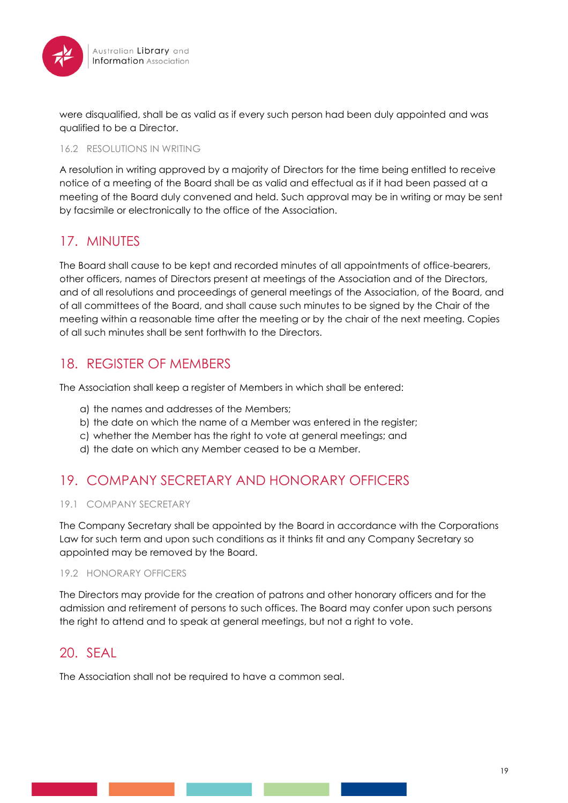

were disqualified, shall be as valid as if every such person had been duly appointed and was qualified to be a Director.

#### 16.2 RESOLUTIONS IN WRITING

A resolution in writing approved by a majority of Directors for the time being entitled to receive notice of a meeting of the Board shall be as valid and effectual as if it had been passed at a meeting of the Board duly convened and held. Such approval may be in writing or may be sent by facsimile or electronically to the office of the Association.

# 17. MINUTES

The Board shall cause to be kept and recorded minutes of all appointments of office-bearers, other officers, names of Directors present at meetings of the Association and of the Directors, and of all resolutions and proceedings of general meetings of the Association, of the Board, and of all committees of the Board, and shall cause such minutes to be signed by the Chair of the meeting within a reasonable time after the meeting or by the chair of the next meeting. Copies of all such minutes shall be sent forthwith to the Directors.

# 18. REGISTER OF MEMBERS

The Association shall keep a register of Members in which shall be entered:

- a) the names and addresses of the Members;
- b) the date on which the name of a Member was entered in the register;
- c) whether the Member has the right to vote at general meetings; and
- d) the date on which any Member ceased to be a Member.

# 19. COMPANY SECRETARY AND HONORARY OFFICERS

### 19.1 COMPANY SECRETARY

The Company Secretary shall be appointed by the Board in accordance with the Corporations Law for such term and upon such conditions as it thinks fit and any Company Secretary so appointed may be removed by the Board.

#### 19.2 HONORARY OFFICERS

The Directors may provide for the creation of patrons and other honorary officers and for the admission and retirement of persons to such offices. The Board may confer upon such persons the right to attend and to speak at general meetings, but not a right to vote.

# 20. SEAL

The Association shall not be required to have a common seal.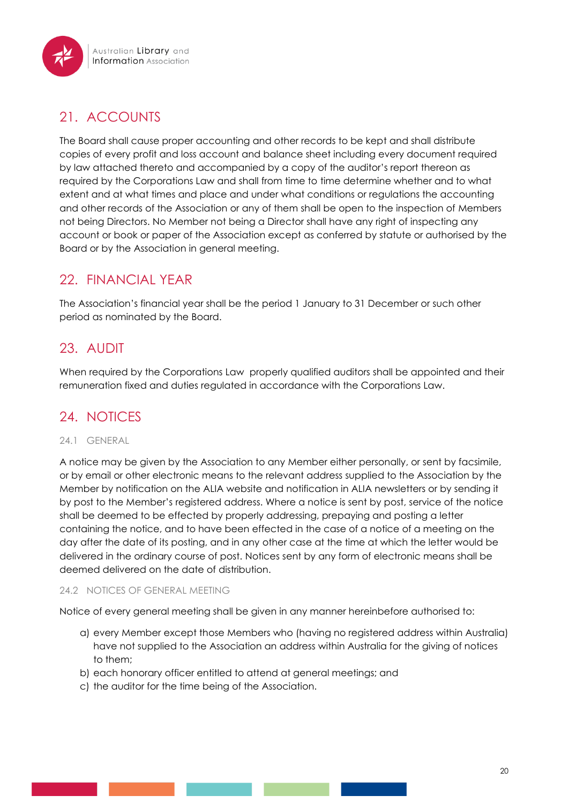# 21. ACCOUNTS

The Board shall cause proper accounting and other records to be kept and shall distribute copies of every profit and loss account and balance sheet including every document required by law attached thereto and accompanied by a copy of the auditor's report thereon as required by the Corporations Law and shall from time to time determine whether and to what extent and at what times and place and under what conditions or regulations the accounting and other records of the Association or any of them shall be open to the inspection of Members not being Directors. No Member not being a Director shall have any right of inspecting any account or book or paper of the Association except as conferred by statute or authorised by the Board or by the Association in general meeting.

# 22. FINANCIAL YEAR

The Association's financial year shall be the period 1 January to 31 December or such other period as nominated by the Board.

# 23. AUDIT

When required by the Corporations Law properly qualified auditors shall be appointed and their remuneration fixed and duties regulated in accordance with the Corporations Law.

# 24. NOTICES

### 24.1 GENERAL

A notice may be given by the Association to any Member either personally, or sent by facsimile, or by email or other electronic means to the relevant address supplied to the Association by the Member by notification on the ALIA website and notification in ALIA newsletters or by sending it by post to the Member's registered address. Where a notice is sent by post, service of the notice shall be deemed to be effected by properly addressing, prepaying and posting a letter containing the notice, and to have been effected in the case of a notice of a meeting on the day after the date of its posting, and in any other case at the time at which the letter would be delivered in the ordinary course of post. Notices sent by any form of electronic means shall be deemed delivered on the date of distribution.

### 24.2 NOTICES OF GENERAL MEETING

Notice of every general meeting shall be given in any manner hereinbefore authorised to:

- a) every Member except those Members who (having no registered address within Australia) have not supplied to the Association an address within Australia for the giving of notices to them;
- b) each honorary officer entitled to attend at general meetings; and
- c) the auditor for the time being of the Association.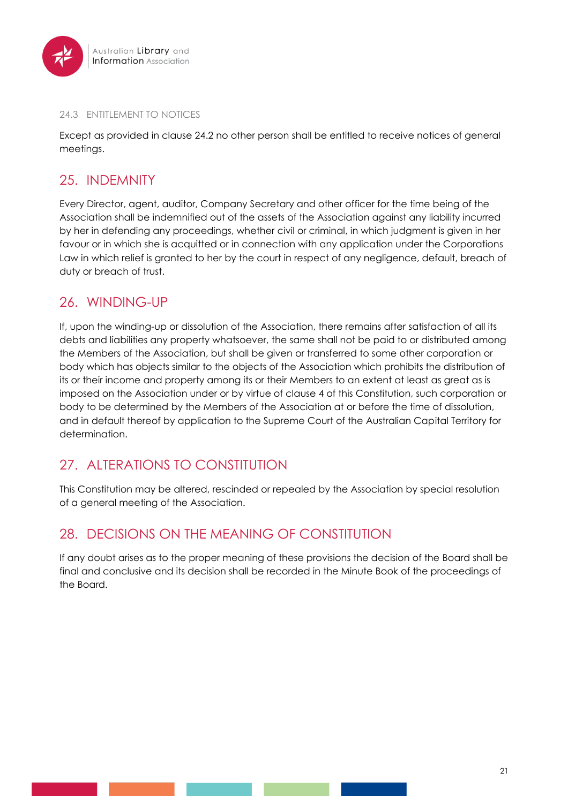

#### 24.3 ENTITLEMENT TO NOTICES

Except as provided in clause 24.2 no other person shall be entitled to receive notices of general meetings.

# 25. INDEMNITY

Every Director, agent, auditor, Company Secretary and other officer for the time being of the Association shall be indemnified out of the assets of the Association against any liability incurred by her in defending any proceedings, whether civil or criminal, in which judgment is given in her favour or in which she is acquitted or in connection with any application under the Corporations Law in which relief is granted to her by the court in respect of any negligence, default, breach of duty or breach of trust.

# 26. WINDING-UP

If, upon the winding-up or dissolution of the Association, there remains after satisfaction of all its debts and liabilities any property whatsoever, the same shall not be paid to or distributed among the Members of the Association, but shall be given or transferred to some other corporation or body which has objects similar to the objects of the Association which prohibits the distribution of its or their income and property among its or their Members to an extent at least as great as is imposed on the Association under or by virtue of clause 4 of this Constitution, such corporation or body to be determined by the Members of the Association at or before the time of dissolution, and in default thereof by application to the Supreme Court of the Australian Capital Territory for determination.

# 27. ALTERATIONS TO CONSTITUTION

This Constitution may be altered, rescinded or repealed by the Association by special resolution of a general meeting of the Association.

# 28. DECISIONS ON THE MEANING OF CONSTITUTION

If any doubt arises as to the proper meaning of these provisions the decision of the Board shall be final and conclusive and its decision shall be recorded in the Minute Book of the proceedings of the Board.